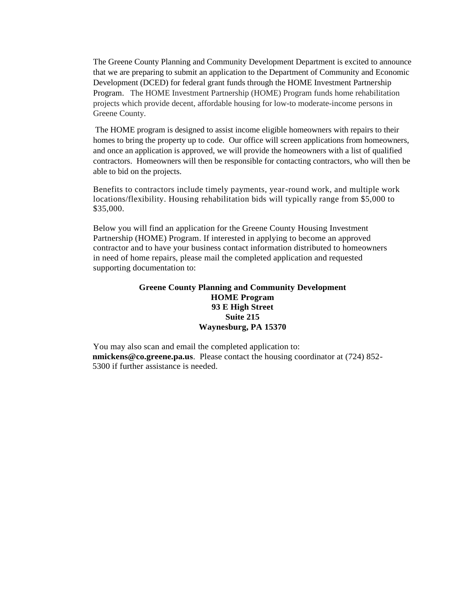The Greene County Planning and Community Development Department is excited to announce that we are preparing to submit an application to the Department of Community and Economic Development (DCED) for federal grant funds through the HOME Investment Partnership Program. The HOME Investment Partnership (HOME) Program funds home rehabilitation projects which provide decent, affordable housing for low-to moderate-income persons in Greene County.

The HOME program is designed to assist income eligible homeowners with repairs to their homes to bring the property up to code. Our office will screen applications from homeowners, and once an application is approved, we will provide the homeowners with a list of qualified contractors. Homeowners will then be responsible for contacting contractors, who will then be able to bid on the projects.

Benefits to contractors include timely payments, year-round work, and multiple work locations/flexibility. Housing rehabilitation bids will typically range from \$5,000 to \$35,000.

Below you will find an application for the Greene County Housing Investment Partnership (HOME) Program. If interested in applying to become an approved contractor and to have your business contact information distributed to homeowners in need of home repairs, please mail the completed application and requested supporting documentation to:

## **Greene County Planning and Community Development HOME Program 93 E High Street Suite 215 Waynesburg, PA 15370**

You may also scan and email the completed application to: **nmickens@co.greene.pa.us**. Please contact the housing coordinator at (724) 852- 5300 if further assistance is needed.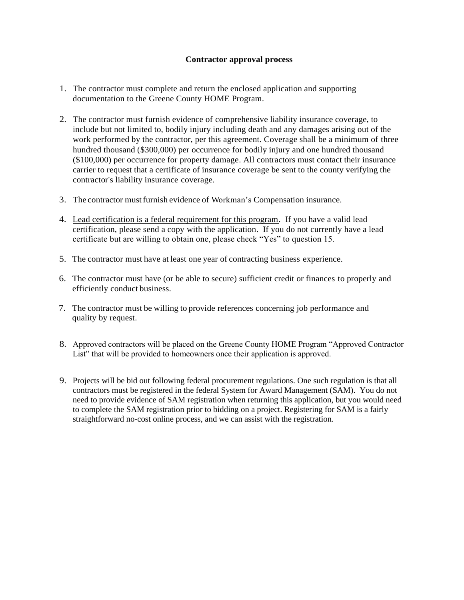## **Contractor approval process**

- 1. The contractor must complete and return the enclosed application and supporting documentation to the Greene County HOME Program.
- 2. The contractor must furnish evidence of comprehensive liability insurance coverage, to include but not limited to, bodily injury including death and any damages arising out of the work performed by the contractor, per this agreement. Coverage shall be a minimum of three hundred thousand (\$300,000) per occurrence for bodily injury and one hundred thousand (\$100,000) per occurrence for property damage. All contractors must contact their insurance carrier to request that a certificate of insurance coverage be sent to the county verifying the contractor's liability insurance coverage.
- 3. The contractor must furnish evidence of Workman's Compensation insurance.
- 4. Lead certification is a federal requirement for this program. If you have a valid lead certification, please send a copy with the application. If you do not currently have a lead certificate but are willing to obtain one, please check "Yes" to question 15.
- 5. The contractor must have at least one year of contracting business experience.
- 6. The contractor must have (or be able to secure) sufficient credit or finances to properly and efficiently conduct business.
- 7. The contractor must be willing to provide references concerning job performance and quality by request.
- 8. Approved contractors will be placed on the Greene County HOME Program "Approved Contractor List" that will be provided to homeowners once their application is approved.
- 9. Projects will be bid out following federal procurement regulations. One such regulation is that all contractors must be registered in the federal System for Award Management (SAM). You do not need to provide evidence of SAM registration when returning this application, but you would need to complete the SAM registration prior to bidding on a project. Registering for SAM is a fairly straightforward no-cost online process, and we can assist with the registration.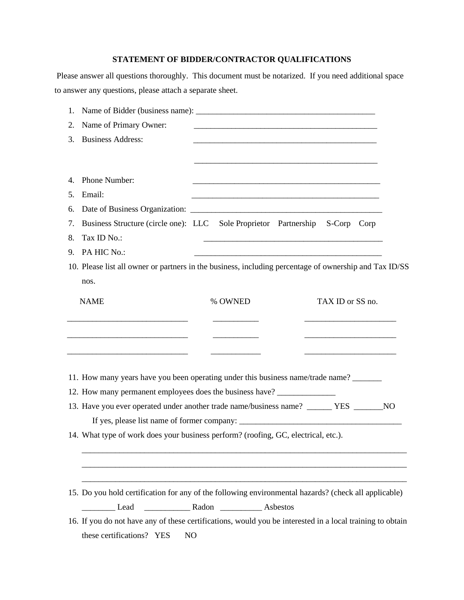## **STATEMENT OF BIDDER/CONTRACTOR QUALIFICATIONS**

Please answer all questions thoroughly. This document must be notarized. If you need additional space to answer any questions, please attach a separate sheet.

| 1.                                                                                 |                                                                              |                                                                                                                       |
|------------------------------------------------------------------------------------|------------------------------------------------------------------------------|-----------------------------------------------------------------------------------------------------------------------|
| Name of Primary Owner:<br>2.                                                       |                                                                              | <u> 1989 - Johann Harry Harry Harry Harry Harry Harry Harry Harry Harry Harry Harry Harry Harry Harry Harry Harry</u> |
| <b>Business Address:</b><br>3.                                                     |                                                                              |                                                                                                                       |
|                                                                                    |                                                                              |                                                                                                                       |
| Phone Number:<br>4.                                                                |                                                                              |                                                                                                                       |
| Email:<br>5.                                                                       |                                                                              |                                                                                                                       |
| 6.                                                                                 |                                                                              |                                                                                                                       |
| 7.                                                                                 | Business Structure (circle one): LLC Sole Proprietor Partnership S-Corp Corp |                                                                                                                       |
| Tax ID No.:<br>8.                                                                  |                                                                              |                                                                                                                       |
| PA HIC No.:<br>9.                                                                  |                                                                              |                                                                                                                       |
|                                                                                    |                                                                              | 10. Please list all owner or partners in the business, including percentage of ownership and Tax ID/SS                |
| nos.                                                                               |                                                                              |                                                                                                                       |
| <b>NAME</b>                                                                        | % OWNED                                                                      | TAX ID or SS no.                                                                                                      |
|                                                                                    |                                                                              |                                                                                                                       |
|                                                                                    |                                                                              |                                                                                                                       |
|                                                                                    |                                                                              |                                                                                                                       |
|                                                                                    |                                                                              |                                                                                                                       |
|                                                                                    |                                                                              | 11. How many years have you been operating under this business name/trade name?                                       |
| 12. How many permanent employees does the business have? _______________________   |                                                                              |                                                                                                                       |
|                                                                                    |                                                                              | 13. Have you ever operated under another trade name/business name? ______ YES _______NO                               |
|                                                                                    |                                                                              |                                                                                                                       |
|                                                                                    |                                                                              |                                                                                                                       |
| 14. What type of work does your business perform? (roofing, GC, electrical, etc.). |                                                                              |                                                                                                                       |
|                                                                                    |                                                                              |                                                                                                                       |
|                                                                                    |                                                                              |                                                                                                                       |
|                                                                                    |                                                                              |                                                                                                                       |
|                                                                                    |                                                                              | 15. Do you hold certification for any of the following environmental hazards? (check all applicable)                  |
|                                                                                    |                                                                              |                                                                                                                       |
|                                                                                    |                                                                              | 16. If you do not have any of these certifications, would you be interested in a local training to obtain             |
| these certifications? YES                                                          | N <sub>O</sub>                                                               |                                                                                                                       |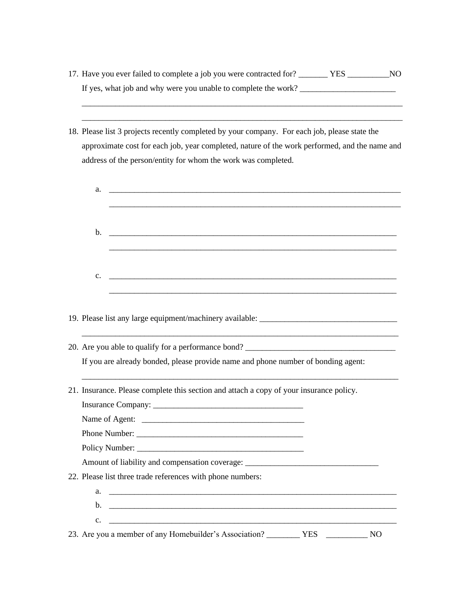17. Have you ever failed to complete a job you were contracted for? \_\_\_\_\_\_\_ YES \_\_\_\_\_\_\_\_\_\_NO If yes, what job and why were you unable to complete the work? \_\_\_\_\_\_\_\_\_\_\_\_\_\_\_\_\_\_\_\_\_\_\_

\_\_\_\_\_\_\_\_\_\_\_\_\_\_\_\_\_\_\_\_\_\_\_\_\_\_\_\_\_\_\_\_\_\_\_\_\_\_\_\_\_\_\_\_\_\_\_\_\_\_\_\_\_\_\_\_\_\_\_\_\_\_\_\_\_\_\_\_\_\_\_\_\_\_\_\_\_

18. Please list 3 projects recently completed by your company. For each job, please state the approximate cost for each job, year completed, nature of the work performed, and the name and address of the person/entity for whom the work was completed.

\_\_\_\_\_\_\_\_\_\_\_\_\_\_\_\_\_\_\_\_\_\_\_\_\_\_\_\_\_\_\_\_\_\_\_\_\_\_\_\_\_\_\_\_\_\_\_\_\_\_\_\_\_\_\_\_\_\_\_\_\_\_\_\_\_\_\_\_\_\_\_\_\_\_\_\_\_

| a.<br><u> 1980 - Johann Stein, mars et al. (</u> † 1920)                                |
|-----------------------------------------------------------------------------------------|
|                                                                                         |
|                                                                                         |
| 19. Please list any large equipment/machinery available: _______________________        |
| 20. Are you able to qualify for a performance bond?                                     |
| If you are already bonded, please provide name and phone number of bonding agent:       |
| 21. Insurance. Please complete this section and attach a copy of your insurance policy. |
|                                                                                         |
|                                                                                         |
|                                                                                         |
|                                                                                         |
|                                                                                         |
| Amount of liability and compensation coverage: __________________________________       |
|                                                                                         |
| 22. Please list three trade references with phone numbers:                              |
| $\mathbf{a.}$ $\qquad \qquad$                                                           |
| $c.$ $\qquad \qquad$                                                                    |